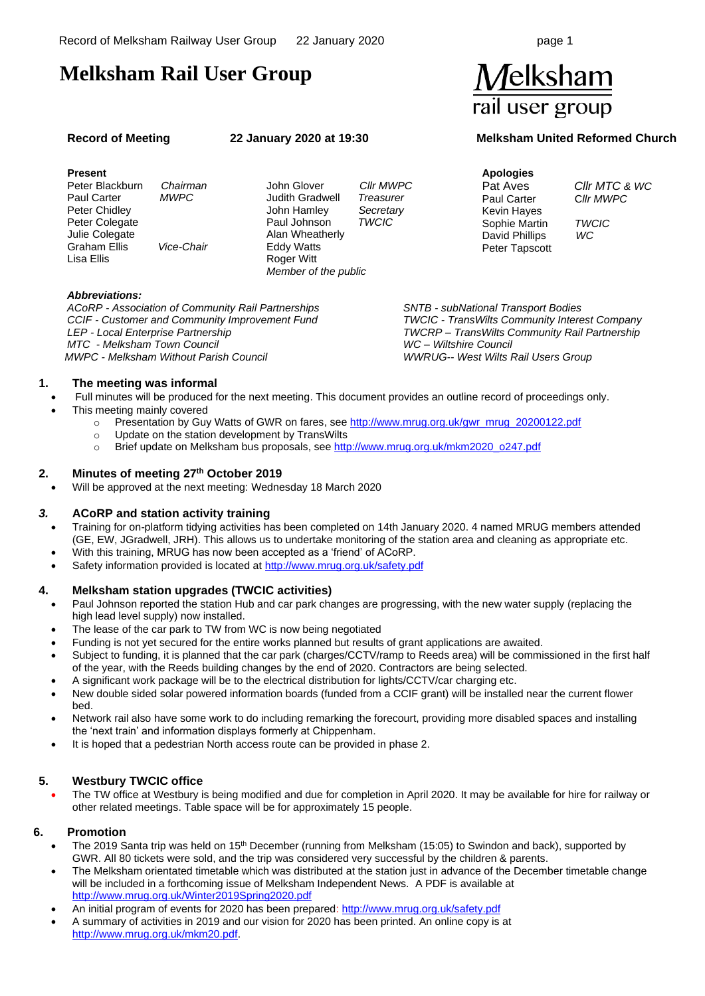# **Melksham Rail User Group**

#### **Present**

 Peter Blackburn *Chairman*  Paul Carter *MWPC* Peter Chidley Peter Colegate Julie Colegate Graham Ellis *Vice-Chair* Lisa Ellis

John Glover *Cllr MWPC* Judith Gradwell *Treasurer* John Hamley *Secretary* Paul Johnson *TWCIC* Alan Wheatherly Eddy Watts **Roger Witt** *Member of the public*

Melksham rail user group

## **Record of Meeting 22 January 2020 at 19:30 Melksham United Reformed Church**

**Apologies** Kevin Hayes Sophie Martin *TWCIC* David Phillips *WC* Peter Tapscott

*TWCIC - TransWilts Community Interest Company TWCRP – TransWilts Community Rail Partnership*

*SNTB - subNational Transport Bodies*

*WWRUG-- West Wilts Rail Users Group*

*WC – Wiltshire Council*

Pat Aves *Cllr MTC & WC* **CIIr MWPC** 

#### *Abbreviations:*

*ACoRP - Association of Community Rail Partnerships CCIF - Customer and Community Improvement Fund LEP - Local Enterprise Partnership MTC - Melksham Town Council MWPC - Melksham Without Parish Council*

# **1. The meeting was informal**

- Full minutes will be produced for the next meeting. This document provides an outline record of proceedings only.
	- This meeting mainly covered
		- o Presentation by Guy Watts of GWR on fares, se[e http://www.mrug.org.uk/gwr\\_mrug\\_20200122.pdf](http://www.mrug.org.uk/gwr_mrug_20200122.pdf)
		- o Update on the station development by TransWilts
			- o Brief update on Melksham bus proposals, see [http://www.mrug.org.uk/mkm2020\\_o247.pdf](http://www.mrug.org.uk/mkm2020_o247.pdf)

## **2. Minutes of meeting 27th October 2019**

• Will be approved at the next meeting: Wednesday 18 March 2020

### *3.* **ACoRP and station activity training**

- Training for on-platform tidying activities has been completed on 14th January 2020. 4 named MRUG members attended (GE, EW, JGradwell, JRH). This allows us to undertake monitoring of the station area and cleaning as appropriate etc.
- With this training, MRUG has now been accepted as a 'friend' of ACoRP.
- Safety information provided is located at <http://www.mrug.org.uk/safety.pdf>

### **4. Melksham station upgrades (TWCIC activities)**

- Paul Johnson reported the station Hub and car park changes are progressing, with the new water supply (replacing the high lead level supply) now installed.
- The lease of the car park to TW from WC is now being negotiated
- Funding is not yet secured for the entire works planned but results of grant applications are awaited.
- Subject to funding, it is planned that the car park (charges/CCTV/ramp to Reeds area) will be commissioned in the first half of the year, with the Reeds building changes by the end of 2020. Contractors are being selected.
- A significant work package will be to the electrical distribution for lights/CCTV/car charging etc.
- New double sided solar powered information boards (funded from a CCIF grant) will be installed near the current flower bed.
- Network rail also have some work to do including remarking the forecourt, providing more disabled spaces and installing the 'next train' and information displays formerly at Chippenham.
- It is hoped that a pedestrian North access route can be provided in phase 2.

### **5. Westbury TWCIC office**

• The TW office at Westbury is being modified and due for completion in April 2020. It may be available for hire for railway or other related meetings. Table space will be for approximately 15 people.

#### **6. Promotion**

- The 2019 Santa trip was held on 15<sup>th</sup> December (running from Melksham (15:05) to Swindon and back), supported by GWR. All 80 tickets were sold, and the trip was considered very successful by the children & parents.
- The Melksham orientated timetable which was distributed at the station just in advance of the December timetable change will be included in a forthcoming issue of Melksham Independent News. A PDF is available at <http://www.mrug.org.uk/Winter2019Spring2020.pdf>
	- An initial program of events for 2020 has been prepared[: http://www.mrug.org.uk/safety.pdf](http://www.mrug.org.uk/safety.pdf)
- A summary of activities in 2019 and our vision for 2020 has been printed. An online copy is at [http://www.mrug.org.uk/mkm20.pdf.](http://www.mrug.org.uk/mkm20.pdf)